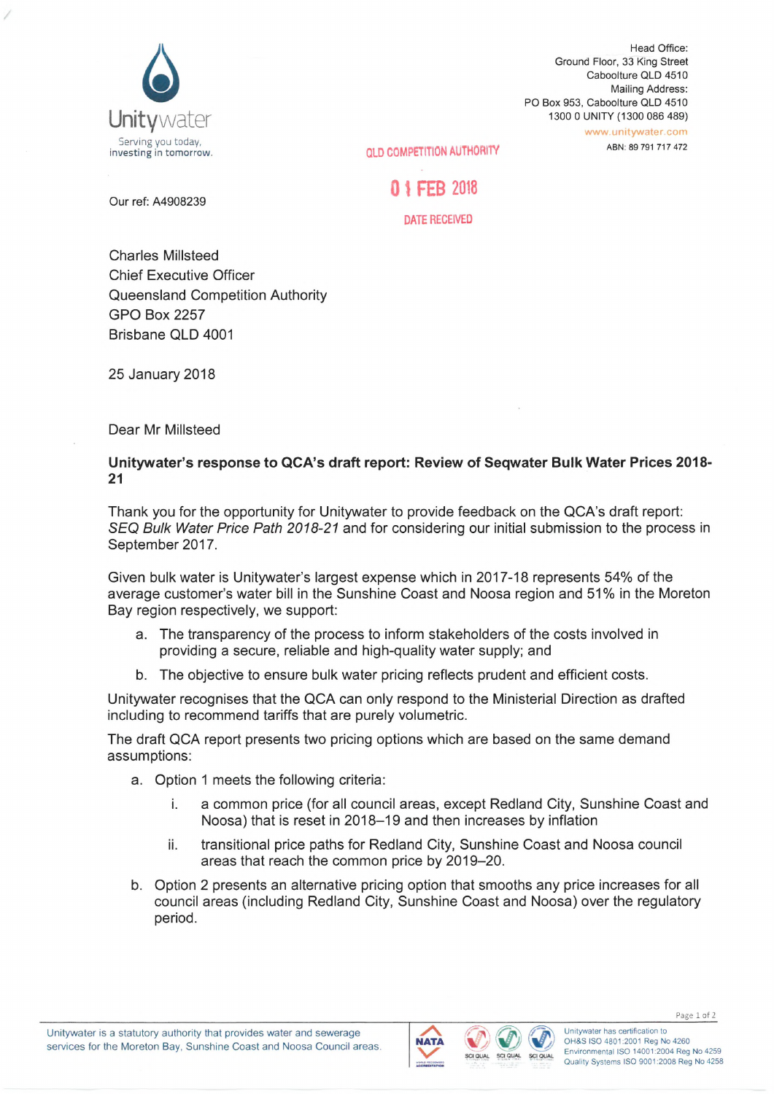

Head Office: Ground Floor, 33 King Street Caboolture QLD 4510 Mailing Address: PO Box 953, Caboolture QLD 4510 1300 0 UNITY (1300 086 489) [www.unitywater.com](http://www.unitywater.com)

ABN: 89 791 717 472

investing in tomorrow. **QLD COMPETITION AUTHORITY**

0 *\* FEB <sup>2018</sup>

**Our ref: A4908239**

**DATE RECEIVED**

Charles Millsteed Chief Executive Officer Queensland Competition Authority GPO Box 2257 Brisbane QLD 4001

25 January 2018

Dear Mr Millsteed

## **Unitywater's response to QCA's draft report: Review of Seqwater Bulk Water Prices 2018- 21**

Thank you for the opportunity for Unitywater to provide feedback on the QCA's draft report: *SEQ Bulk Water Price Path 2018-21* and for considering our initial submission to the process in September 2017.

Given bulk water is Unitywater's largest expense which in 2017-18 represents 54% of the average customer's water bill in the Sunshine Coast and Noosa region and 51% in the Moreton Bay region respectively, we support:

- a. The transparency of the process to inform stakeholders of the costs involved in providing a secure, reliable and high-quality water supply; and
- b. The objective to ensure bulk water pricing reflects prudent and efficient costs.

Unitywater recognises that the QCA can only respond to the Ministerial Direction as drafted including to recommend tariffs that are purely volumetric.

The draft QCA report presents two pricing options which are based on the same demand assumptions:

- a. Option <sup>1</sup> meets the following criteria:
	- i. a common price (for all council areas, except Redland City, Sunshine Coast and Noosa) that is reset in 2018-19 and then increases by inflation
	- ii. transitional price paths for Redland City, Sunshine Coast and Noosa council areas that reach the common price by 2019-20.
- b. Option 2 presents an alternative pricing option that smooths any price increases for all council areas (including Redland City, Sunshine Coast and Noosa) over the regulatory period.